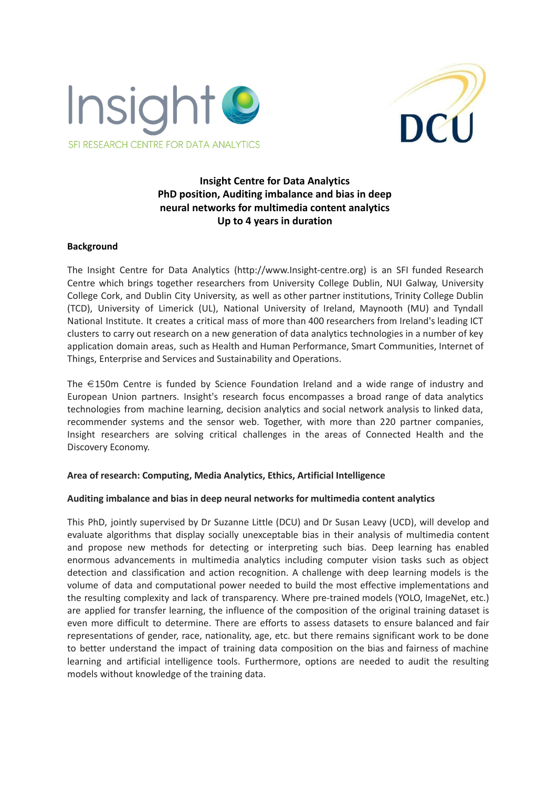



# **Insight Centre for Data Analytics PhD position, Auditing imbalance and bias in deep neural networks for multimedia content analytics Up to 4 years in duration**

#### **Background**

The Insight Centre for Data Analytics (http://www.Insight-centre.org) is an SFI funded Research Centre which brings together researchers from University College Dublin, NUI Galway, University College Cork, and Dublin City University, as well as other partner institutions, Trinity College Dublin (TCD), University of Limerick (UL), National University of Ireland, Maynooth (MU) and Tyndall National Institute. It creates a critical mass of more than 400 researchers from Ireland's leading ICT clusters to carry out research on a new generation of data analytics technologies in a number of key application domain areas, such as Health and Human Performance, Smart Communities, Internet of Things, Enterprise and Services and Sustainability and Operations.

The €150m Centre is funded by Science Foundation Ireland and a wide range of industry and European Union partners. Insight's research focus encompasses a broad range of data analytics technologies from machine learning, decision analytics and social network analysis to linked data, recommender systems and the sensor web. Together, with more than 220 partner companies, Insight researchers are solving critical challenges in the areas of Connected Health and the Discovery Economy.

#### **Area of research: Computing, Media Analytics, Ethics, Artificial Intelligence**

#### **Auditing imbalance and bias in deep neural networks for multimedia content analytics**

This PhD, jointly supervised by Dr Suzanne Little (DCU) and Dr Susan Leavy (UCD), will develop and evaluate algorithms that display socially unexceptable bias in their analysis of multimedia content and propose new methods for detecting or interpreting such bias. Deep learning has enabled enormous advancements in multimedia analytics including computer vision tasks such as object detection and classification and action recognition. A challenge with deep learning models is the volume of data and computational power needed to build the most effective implementations and the resulting complexity and lack of transparency. Where pre-trained models (YOLO, ImageNet, etc.) are applied for transfer learning, the influence of the composition of the original training dataset is even more difficult to determine. There are efforts to assess datasets to ensure balanced and fair representations of gender, race, nationality, age, etc. but there remains significant work to be done to better understand the impact of training data composition on the bias and fairness of machine learning and artificial intelligence tools. Furthermore, options are needed to audit the resulting models without knowledge of the training data.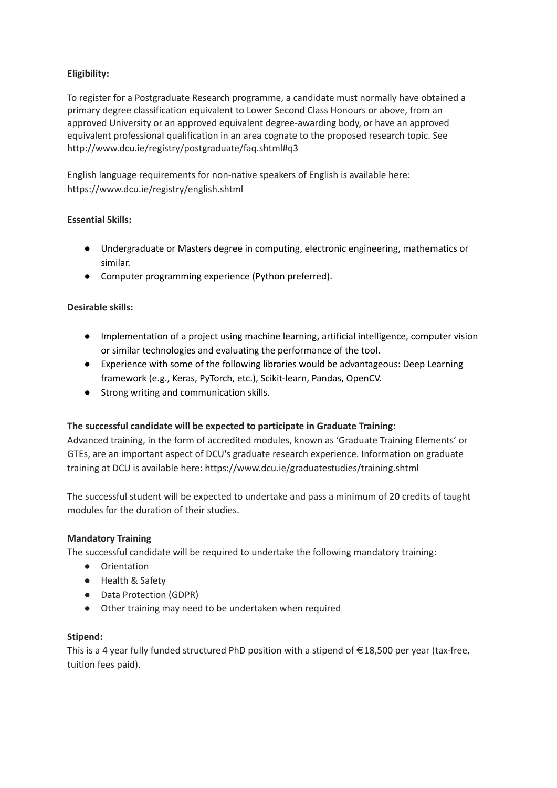# **Eligibility:**

To register for a Postgraduate Research programme, a candidate must normally have obtained a primary degree classification equivalent to Lower Second Class Honours or above, from an approved University or an approved equivalent degree-awarding body, or have an approved equivalent professional qualification in an area cognate to the proposed research topic. See http://www.dcu.ie/registry/postgraduate/faq.shtml#q3

English language requirements for non-native speakers of English is available here: <https://www.dcu.ie/registry/english.shtml>

# **Essential Skills:**

- Undergraduate or Masters degree in computing, electronic engineering, mathematics or similar.
- Computer programming experience (Python preferred).

### **Desirable skills:**

- Implementation of a project using machine learning, artificial intelligence, computer vision or similar technologies and evaluating the performance of the tool.
- Experience with some of the following libraries would be advantageous: Deep Learning framework (e.g., Keras, PyTorch, etc.), Scikit-learn, Pandas, OpenCV.
- Strong writing and communication skills.

# **The successful candidate will be expected to participate in Graduate Training:**

Advanced training, in the form of accredited modules, known as 'Graduate Training Elements' or GTEs, are an important aspect of DCU's graduate research experience. Information on graduate training at DCU is available here: https://www.dcu.ie/graduatestudies/training.shtml

The successful student will be expected to undertake and pass a minimum of 20 credits of taught modules for the duration of their studies.

#### **Mandatory Training**

The successful candidate will be required to undertake the following mandatory training:

- Orientation
- Health & Safety
- Data Protection (GDPR)
- Other training may need to be undertaken when required

#### **Stipend:**

This is a 4 year fully funded structured PhD position with a stipend of  $\in$  18,500 per year (tax-free, tuition fees paid).